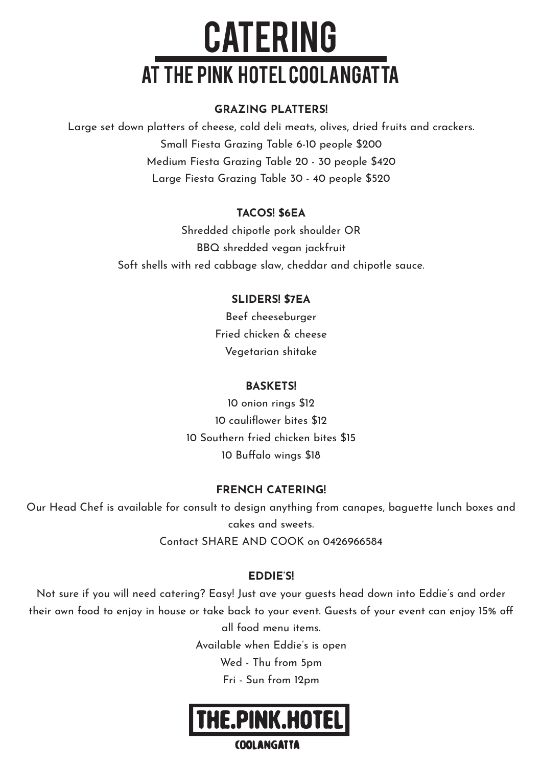# **CATERING** at the pink hotel coolangatta

#### GRAZING PLATTERS!

Large set down platters of cheese, cold deli meats, olives, dried fruits and crackers. Small Fiesta Grazing Table 6-10 people \$200 Medium Fiesta Grazing Table 20 - 30 people \$420 Large Fiesta Grazing Table 30 - 40 people \$520

#### TACOS! \$6EA

Shredded chipotle pork shoulder OR BBQ shredded vegan jackfruit Soft shells with red cabbage slaw, cheddar and chipotle sauce.

#### SLIDERS! \$7EA

Beef cheeseburger Fried chicken & cheese Vegetarian shitake

#### **BASKETS!**

10 onion rings \$12 10 cauliflower bites \$12 10 Southern fried chicken bites \$15 10 Buffalo wings \$18

#### FRENCH CATERING!

Our Head Chef is available for consult to design anything from canapes, baguette lunch boxes and cakes and sweets. Contact SHARE AND COOK on 0426966584

#### EDDIE'S!

Not sure if you will need catering? Easy! Just ave your guests head down into Eddie's and order their own food to enjoy in house or take back to your event. Guests of your event can enjoy 15% off all food menu items. Available when Eddie's is open

Wed - Thu from 5pm

Fri - Sun from 12pm



#### **COOLANGATTA**